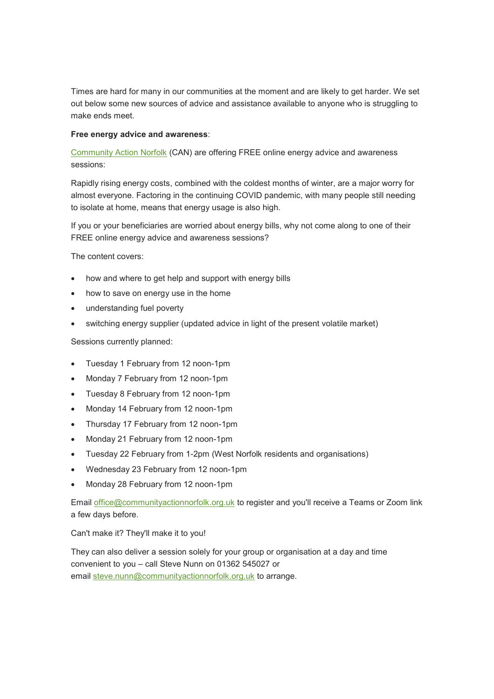Times are hard for many in our communities at the moment and are likely to get harder. We set out below some new sources of advice and assistance available to anyone who is struggling to make ends meet.

## **Free energy advice and awareness**:

[Community Action Norfolk](https://norfolkalc.us19.list-manage.com/track/click?u=2692b65f54fc05af771acfb43&id=7fb3340b30&e=c73286bc58) (CAN) are offering FREE online energy advice and awareness sessions:

Rapidly rising energy costs, combined with the coldest months of winter, are a major worry for almost everyone. Factoring in the continuing COVID pandemic, with many people still needing to isolate at home, means that energy usage is also high.

If you or your beneficiaries are worried about energy bills, why not come along to one of their FREE online energy advice and awareness sessions?

The content covers:

- how and where to get help and support with energy bills
- how to save on energy use in the home
- understanding fuel poverty
- switching energy supplier (updated advice in light of the present volatile market)

Sessions currently planned:

- Tuesday 1 February from 12 noon-1pm
- Monday 7 February from 12 noon-1pm
- Tuesday 8 February from 12 noon-1pm
- Monday 14 February from 12 noon-1pm
- Thursday 17 February from 12 noon-1pm
- Monday 21 February from 12 noon-1pm
- Tuesday 22 February from 1-2pm (West Norfolk residents and organisations)
- Wednesday 23 February from 12 noon-1pm
- Monday 28 February from 12 noon-1pm

Email [office@communityactionnorfolk.org.uk](mailto:office@communityactionnorfolk.org.uk) to register and you'll receive a Teams or Zoom link a few days before.

Can't make it? They'll make it to you!

They can also deliver a session solely for your group or organisation at a day and time convenient to you – call Steve Nunn on 01362 545027 or email [steve.nunn@communityactionnorfolk.org.uk](mailto:steve.nunn@communityactionnorfolk.org.uk) to arrange.